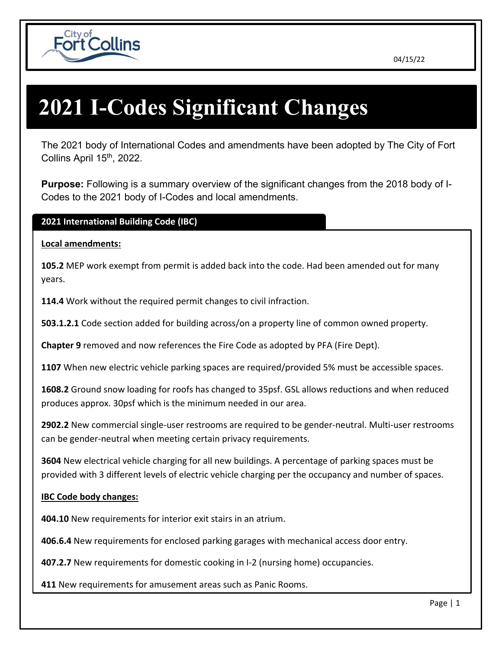



# **2021 I-Codes Significant Changes**

The 2021 body of International Codes and amendments have been adopted by The City of Fort Collins April 15<sup>th</sup>, 2022.

**Purpose:** Following is a summary overview of the significant changes from the 2018 body of I-Codes to the 2021 body of I-Codes and local amendments.

# **2021 International Building Code (IBC)**

## **Local amendments:**

**105.2** MEP work exempt from permit is added back into the code. Had been amended out for many years.

**114.4** Work without the required permit changes to civil infraction.

**503.1.2.1** Code section added for building across/on a property line of common owned property.

**Chapter 9** removed and now references the Fire Code as adopted by PFA (Fire Dept).

**1107** When new electric vehicle parking spaces are required/provided 5% must be accessible spaces.

**1608.2** Ground snow loading for roofs has changed to 35psf. GSL allows reductions and when reduced produces approx. 30psf which is the minimum needed in our area.

**2902.2** New commercial single-user restrooms are required to be gender-neutral. Multi-user restrooms can be gender-neutral when meeting certain privacy requirements.

**3604** New electrical vehicle charging for all new buildings. A percentage of parking spaces must be provided with 3 different levels of electric vehicle charging per the occupancy and number of spaces.

## **IBC Code body changes:**

**404.10** New requirements for interior exit stairs in an atrium.

**406.6.4** New requirements for enclosed parking garages with mechanical access door entry.

**407.2.7** New requirements for domestic cooking in I-2 (nursing home) occupancies.

**411** New requirements for amusement areas such as Panic Rooms.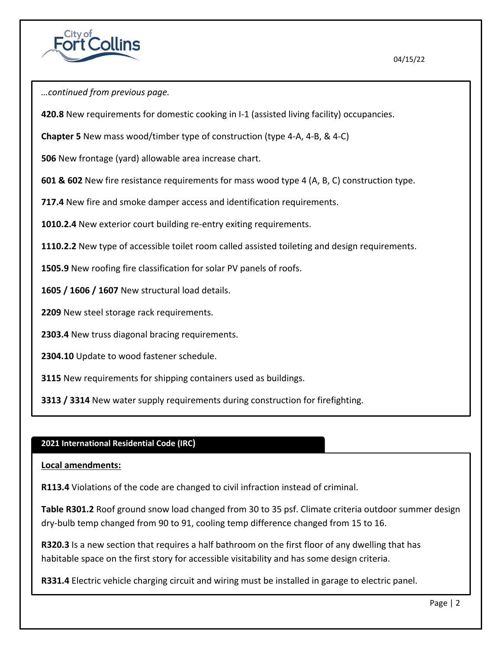

*…continued from previous page.*

**420.8** New requirements for domestic cooking in I-1 (assisted living facility) occupancies.

**Chapter 5** New mass wood/timber type of construction (type 4-A, 4-B, & 4-C)

**506** New frontage (yard) allowable area increase chart.

**601 & 602** New fire resistance requirements for mass wood type 4 (A, B, C) construction type.

**717.4** New fire and smoke damper access and identification requirements.

**1010.2.4** New exterior court building re-entry exiting requirements.

**1110.2.2** New type of accessible toilet room called assisted toileting and design requirements.

**1505.9** New roofing fire classification for solar PV panels of roofs.

**1605 / 1606 / 1607** New structural load details.

**2209** New steel storage rack requirements.

**2303.4** New truss diagonal bracing requirements.

**2304.10** Update to wood fastener schedule.

**3115** New requirements for shipping containers used as buildings.

**3313 / 3314** New water supply requirements during construction for firefighting.

## **2021 International Residential Code (IRC)**

**Local amendments:**

**R113.4** Violations of the code are changed to civil infraction instead of criminal.

**Table R301.2** Roof ground snow load changed from 30 to 35 psf. Climate criteria outdoor summer design dry-bulb temp changed from 90 to 91, cooling temp difference changed from 15 to 16.

**R320.3** Is a new section that requires a half bathroom on the first floor of any dwelling that has habitable space on the first story for accessible visitability and has some design criteria.

**R331.4** Electric vehicle charging circuit and wiring must be installed in garage to electric panel.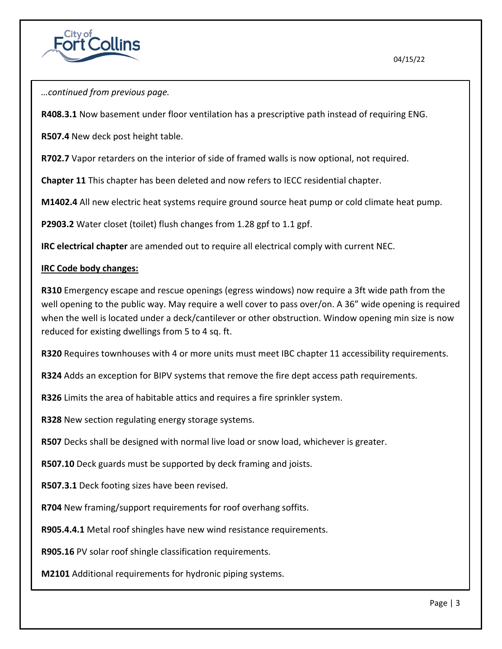



**R408.3.1** Now basement under floor ventilation has a prescriptive path instead of requiring ENG.

**R507.4** New deck post height table.

**R702.7** Vapor retarders on the interior of side of framed walls is now optional, not required.

**Chapter 11** This chapter has been deleted and now refers to IECC residential chapter.

**M1402.4** All new electric heat systems require ground source heat pump or cold climate heat pump.

**P2903.2** Water closet (toilet) flush changes from 1.28 gpf to 1.1 gpf.

**IRC electrical chapter** are amended out to require all electrical comply with current NEC.

## **IRC Code body changes:**

**R310** Emergency escape and rescue openings (egress windows) now require a 3ft wide path from the well opening to the public way. May require a well cover to pass over/on. A 36" wide opening is required when the well is located under a deck/cantilever or other obstruction. Window opening min size is now reduced for existing dwellings from 5 to 4 sq. ft.

**R320** Requires townhouses with 4 or more units must meet IBC chapter 11 accessibility requirements.

**R324** Adds an exception for BIPV systems that remove the fire dept access path requirements.

**R326** Limits the area of habitable attics and requires a fire sprinkler system.

**R328** New section regulating energy storage systems.

**R507** Decks shall be designed with normal live load or snow load, whichever is greater.

**R507.10** Deck guards must be supported by deck framing and joists.

**R507.3.1** Deck footing sizes have been revised.

**R704** New framing/support requirements for roof overhang soffits.

**R905.4.4.1** Metal roof shingles have new wind resistance requirements.

**R905.16** PV solar roof shingle classification requirements.

**M2101** Additional requirements for hydronic piping systems.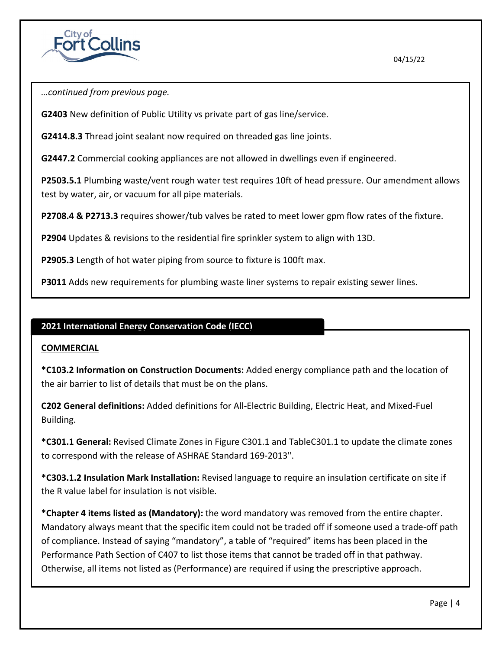

*…continued from previous page.*

**G2403** New definition of Public Utility vs private part of gas line/service.

**G2414.8.3** Thread joint sealant now required on threaded gas line joints.

**G2447.2** Commercial cooking appliances are not allowed in dwellings even if engineered.

**P2503.5.1** Plumbing waste/vent rough water test requires 10ft of head pressure. Our amendment allows test by water, air, or vacuum for all pipe materials.

**P2708.4 & P2713.3** requires shower/tub valves be rated to meet lower gpm flow rates of the fixture.

**P2904** Updates & revisions to the residential fire sprinkler system to align with 13D.

**P2905.3** Length of hot water piping from source to fixture is 100ft max.

**P3011** Adds new requirements for plumbing waste liner systems to repair existing sewer lines.

## **2021 International Energy Conservation Code (IECC)**

#### **COMMERCIAL**

**\*C103.2 Information on Construction Documents:** Added energy compliance path and the location of the air barrier to list of details that must be on the plans.

**C202 General definitions:** Added definitions for All-Electric Building, Electric Heat, and Mixed-Fuel Building.

**\*C301.1 General:** Revised Climate Zones in Figure C301.1 and TableC301.1 to update the climate zones to correspond with the release of ASHRAE Standard 169-2013".

**\*C303.1.2 Insulation Mark Installation:** Revised language to require an insulation certificate on site if the R value label for insulation is not visible.

**\*Chapter 4 items listed as (Mandatory):** the word mandatory was removed from the entire chapter. Mandatory always meant that the specific item could not be traded off if someone used a trade-off path of compliance. Instead of saying "mandatory", a table of "required" items has been placed in the Performance Path Section of C407 to list those items that cannot be traded off in that pathway. Otherwise, all items not listed as (Performance) are required if using the prescriptive approach.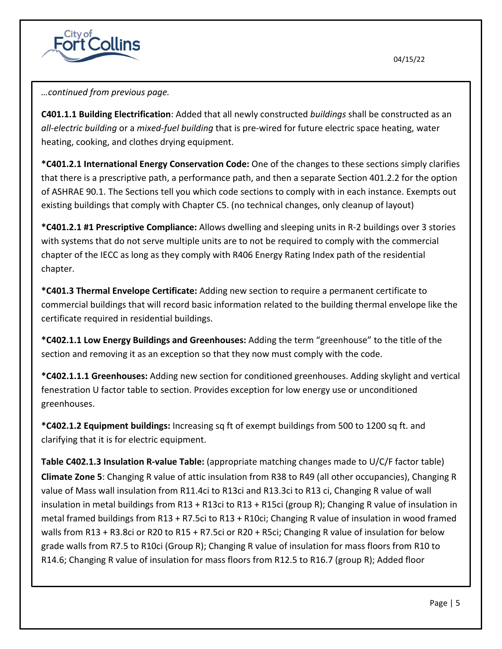

*…continued from previous page.*

**C401.1.1 Building Electrification**: Added that all newly constructed *buildings* shall be constructed as an *all-electric building* or a *mixed-fuel building* that is pre-wired for future electric space heating, water heating, cooking, and clothes drying equipment.

**\*C401.2.1 International Energy Conservation Code:** One of the changes to these sections simply clarifies that there is a prescriptive path, a performance path, and then a separate Section 401.2.2 for the option of ASHRAE 90.1. The Sections tell you which code sections to comply with in each instance. Exempts out existing buildings that comply with Chapter C5. (no technical changes, only cleanup of layout)

**\*C401.2.1 #1 Prescriptive Compliance:** Allows dwelling and sleeping units in R-2 buildings over 3 stories with systems that do not serve multiple units are to not be required to comply with the commercial chapter of the IECC as long as they comply with R406 Energy Rating Index path of the residential chapter.

**\*C401.3 Thermal Envelope Certificate:** Adding new section to require a permanent certificate to commercial buildings that will record basic information related to the building thermal envelope like the certificate required in residential buildings.

**\*C402.1.1 Low Energy Buildings and Greenhouses:** Adding the term "greenhouse" to the title of the section and removing it as an exception so that they now must comply with the code.

**\*C402.1.1.1 Greenhouses:** Adding new section for conditioned greenhouses. Adding skylight and vertical fenestration U factor table to section. Provides exception for low energy use or unconditioned greenhouses.

**\*C402.1.2 Equipment buildings:** Increasing sq ft of exempt buildings from 500 to 1200 sq ft. and clarifying that it is for electric equipment.

**Table C402.1.3 Insulation R-value Table:** (appropriate matching changes made to U/C/F factor table) **Climate Zone 5**: Changing R value of attic insulation from R38 to R49 (all other occupancies), Changing R value of Mass wall insulation from R11.4ci to R13ci and R13.3ci to R13 ci, Changing R value of wall insulation in metal buildings from R13 + R13ci to R13 + R15ci (group R); Changing R value of insulation in metal framed buildings from R13 + R7.5ci to R13 + R10ci; Changing R value of insulation in wood framed walls from R13 + R3.8ci or R20 to R15 + R7.5ci or R20 + R5ci; Changing R value of insulation for below grade walls from R7.5 to R10ci (Group R); Changing R value of insulation for mass floors from R10 to R14.6; Changing R value of insulation for mass floors from R12.5 to R16.7 (group R); Added floor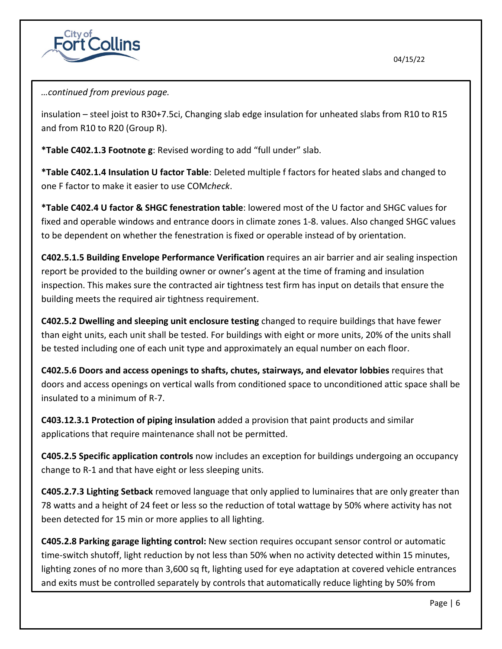



insulation – steel joist to R30+7.5ci, Changing slab edge insulation for unheated slabs from R10 to R15 and from R10 to R20 (Group R).

**\*Table C402.1.3 Footnote g**: Revised wording to add "full under" slab.

**\*Table C402.1.4 Insulation U factor Table**: Deleted multiple f factors for heated slabs and changed to one F factor to make it easier to use COM*check*.

**\*Table C402.4 U factor & SHGC fenestration table**: lowered most of the U factor and SHGC values for fixed and operable windows and entrance doors in climate zones 1-8. values. Also changed SHGC values to be dependent on whether the fenestration is fixed or operable instead of by orientation.

**C402.5.1.5 Building Envelope Performance Verification** requires an air barrier and air sealing inspection report be provided to the building owner or owner's agent at the time of framing and insulation inspection. This makes sure the contracted air tightness test firm has input on details that ensure the building meets the required air tightness requirement.

**C402.5.2 Dwelling and sleeping unit enclosure testing** changed to require buildings that have fewer than eight units, each unit shall be tested. For buildings with eight or more units, 20% of the units shall be tested including one of each unit type and approximately an equal number on each floor.

**C402.5.6 Doors and access openings to shafts, chutes, stairways, and elevator lobbies** requires that doors and access openings on vertical walls from conditioned space to unconditioned attic space shall be insulated to a minimum of R-7.

**C403.12.3.1 Protection of piping insulation** added a provision that paint products and similar applications that require maintenance shall not be permitted.

**C405.2.5 Specific application controls** now includes an exception for buildings undergoing an occupancy change to R-1 and that have eight or less sleeping units.

**C405.2.7.3 Lighting Setback** removed language that only applied to luminaires that are only greater than 78 watts and a height of 24 feet or less so the reduction of total wattage by 50% where activity has not been detected for 15 min or more applies to all lighting.

**C405.2.8 Parking garage lighting control:** New section requires occupant sensor control or automatic time-switch shutoff, light reduction by not less than 50% when no activity detected within 15 minutes, lighting zones of no more than 3,600 sq ft, lighting used for eye adaptation at covered vehicle entrances and exits must be controlled separately by controls that automatically reduce lighting by 50% from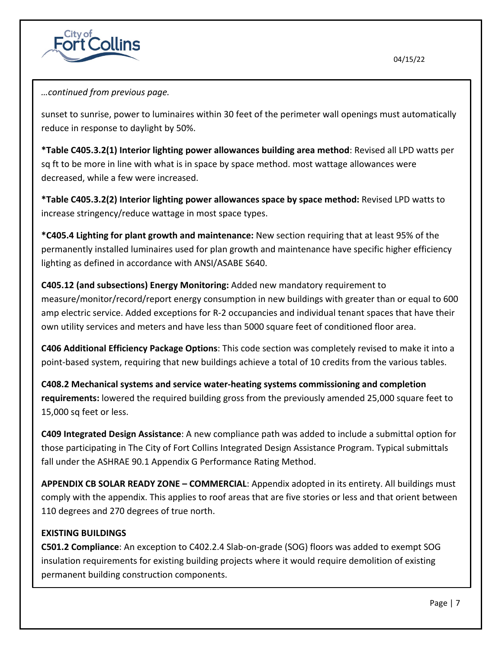



sunset to sunrise, power to luminaires within 30 feet of the perimeter wall openings must automatically reduce in response to daylight by 50%.

**\*Table C405.3.2(1) Interior lighting power allowances building area method**: Revised all LPD watts per sq ft to be more in line with what is in space by space method. most wattage allowances were decreased, while a few were increased.

**\*Table C405.3.2(2) Interior lighting power allowances space by space method:** Revised LPD watts to increase stringency/reduce wattage in most space types.

**\*C405.4 Lighting for plant growth and maintenance:** New section requiring that at least 95% of the permanently installed luminaires used for plan growth and maintenance have specific higher efficiency lighting as defined in accordance with ANSI/ASABE S640.

**C405.12 (and subsections) Energy Monitoring:** Added new mandatory requirement to measure/monitor/record/report energy consumption in new buildings with greater than or equal to 600 amp electric service. Added exceptions for R-2 occupancies and individual tenant spaces that have their own utility services and meters and have less than 5000 square feet of conditioned floor area.

**C406 Additional Efficiency Package Options**: This code section was completely revised to make it into a point-based system, requiring that new buildings achieve a total of 10 credits from the various tables.

**C408.2 Mechanical systems and service water-heating systems commissioning and completion requirements:** lowered the required building gross from the previously amended 25,000 square feet to 15,000 sq feet or less.

**C409 Integrated Design Assistance**: A new compliance path was added to include a submittal option for those participating in The City of Fort Collins Integrated Design Assistance Program. Typical submittals fall under the ASHRAE 90.1 Appendix G Performance Rating Method.

**APPENDIX CB SOLAR READY ZONE – COMMERCIAL**: Appendix adopted in its entirety. All buildings must comply with the appendix. This applies to roof areas that are five stories or less and that orient between 110 degrees and 270 degrees of true north.

# **EXISTING BUILDINGS**

**C501.2 Compliance**: An exception to C402.2.4 Slab-on-grade (SOG) floors was added to exempt SOG insulation requirements for existing building projects where it would require demolition of existing permanent building construction components.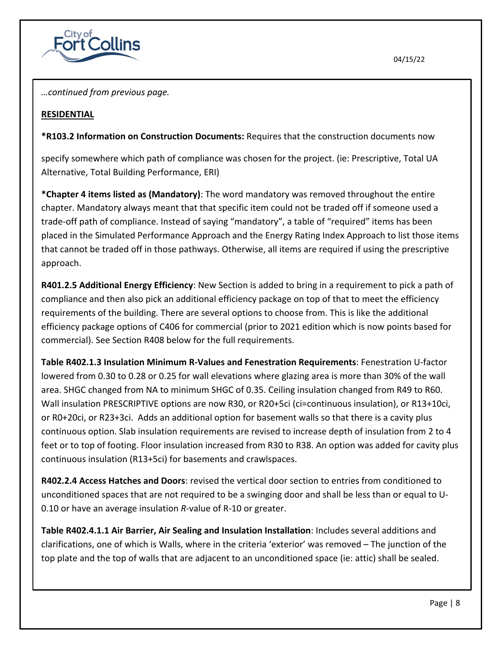

*…continued from previous page.*

## **RESIDENTIAL**

**\*R103.2 Information on Construction Documents:** Requires that the construction documents now

specify somewhere which path of compliance was chosen for the project. (ie: Prescriptive, Total UA Alternative, Total Building Performance, ERI)

**\*Chapter 4 items listed as (Mandatory)**: The word mandatory was removed throughout the entire chapter. Mandatory always meant that that specific item could not be traded off if someone used a trade-off path of compliance. Instead of saying "mandatory", a table of "required" items has been placed in the Simulated Performance Approach and the Energy Rating Index Approach to list those items that cannot be traded off in those pathways. Otherwise, all items are required if using the prescriptive approach.

**R401.2.5 Additional Energy Efficiency**: New Section is added to bring in a requirement to pick a path of compliance and then also pick an additional efficiency package on top of that to meet the efficiency requirements of the building. There are several options to choose from. This is like the additional efficiency package options of C406 for commercial (prior to 2021 edition which is now points based for commercial). See Section R408 below for the full requirements.

**Table R402.1.3 Insulation Minimum R-Values and Fenestration Requirements**: Fenestration U-factor lowered from 0.30 to 0.28 or 0.25 for wall elevations where glazing area is more than 30% of the wall area. SHGC changed from NA to minimum SHGC of 0.35. Ceiling insulation changed from R49 to R60. Wall insulation PRESCRIPTIVE options are now R30, or R20+5ci (ci=continuous insulation), or R13+10ci, or R0+20ci, or R23+3ci. Adds an additional option for basement walls so that there is a cavity plus continuous option. Slab insulation requirements are revised to increase depth of insulation from 2 to 4 feet or to top of footing. Floor insulation increased from R30 to R38. An option was added for cavity plus continuous insulation (R13+5ci) for basements and crawlspaces.

**R402.2.4 Access Hatches and Doors**: revised the vertical door section to entries from conditioned to unconditioned spaces that are not required to be a swinging door and shall be less than or equal to U-0.10 or have an average insulation *R*-value of R-10 or greater.

**Table R402.4.1.1 Air Barrier, Air Sealing and Insulation Installation**: Includes several additions and clarifications, one of which is Walls, where in the criteria 'exterior' was removed – The junction of the top plate and the top of walls that are adjacent to an unconditioned space (ie: attic) shall be sealed.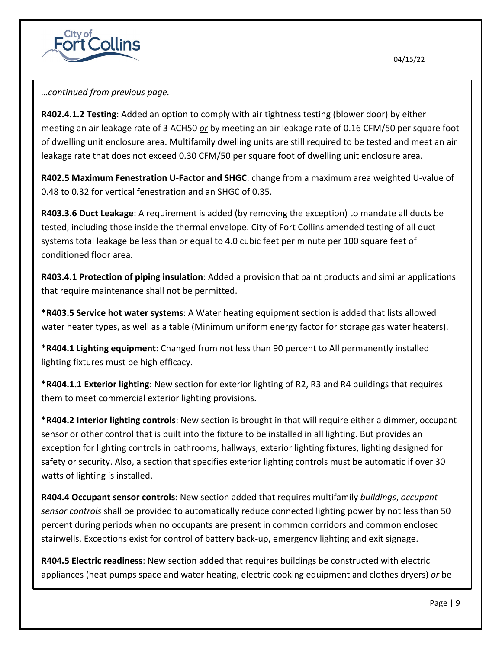



**R402.4.1.2 Testing**: Added an option to comply with air tightness testing (blower door) by either meeting an air leakage rate of 3 ACH50 *or* by meeting an air leakage rate of 0.16 CFM/50 per square foot of dwelling unit enclosure area. Multifamily dwelling units are still required to be tested and meet an air leakage rate that does not exceed 0.30 CFM/50 per square foot of dwelling unit enclosure area.

**R402.5 Maximum Fenestration U-Factor and SHGC**: change from a maximum area weighted U-value of 0.48 to 0.32 for vertical fenestration and an SHGC of 0.35.

**R403.3.6 Duct Leakage**: A requirement is added (by removing the exception) to mandate all ducts be tested, including those inside the thermal envelope. City of Fort Collins amended testing of all duct systems total leakage be less than or equal to 4.0 cubic feet per minute per 100 square feet of conditioned floor area.

**R403.4.1 Protection of piping insulation**: Added a provision that paint products and similar applications that require maintenance shall not be permitted.

**\*R403.5 Service hot water systems**: A Water heating equipment section is added that lists allowed water heater types, as well as a table (Minimum uniform energy factor for storage gas water heaters).

**\*R404.1 Lighting equipment**: Changed from not less than 90 percent to All permanently installed lighting fixtures must be high efficacy.

**\*R404.1.1 Exterior lighting**: New section for exterior lighting of R2, R3 and R4 buildings that requires them to meet commercial exterior lighting provisions.

**\*R404.2 Interior lighting controls**: New section is brought in that will require either a dimmer, occupant sensor or other control that is built into the fixture to be installed in all lighting. But provides an exception for lighting controls in bathrooms, hallways, exterior lighting fixtures, lighting designed for safety or security. Also, a section that specifies exterior lighting controls must be automatic if over 30 watts of lighting is installed.

**R404.4 Occupant sensor controls**: New section added that requires multifamily *buildings*, *occupant sensor controls* shall be provided to automatically reduce connected lighting power by not less than 50 percent during periods when no occupants are present in common corridors and common enclosed stairwells. Exceptions exist for control of battery back-up, emergency lighting and exit signage.

**R404.5 Electric readiness**: New section added that requires buildings be constructed with electric appliances (heat pumps space and water heating, electric cooking equipment and clothes dryers) *or* be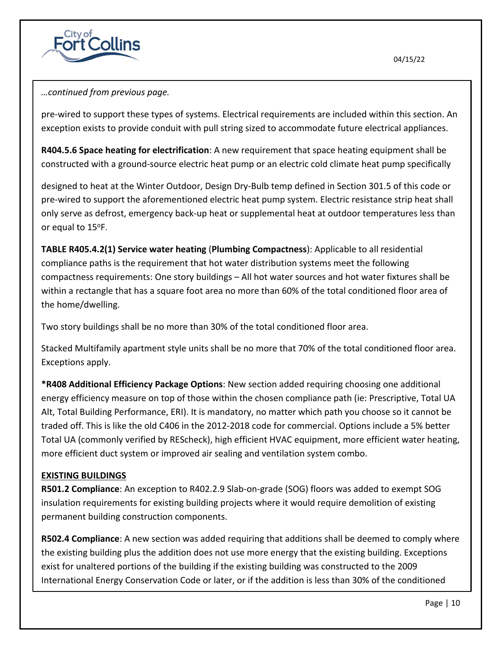

## *…continued from previous page.*

pre-wired to support these types of systems. Electrical requirements are included within this section. An exception exists to provide conduit with pull string sized to accommodate future electrical appliances.

**R404.5.6 Space heating for electrification**: A new requirement that space heating equipment shall be constructed with a ground-source electric heat pump or an electric cold climate heat pump specifically

designed to heat at the Winter Outdoor, Design Dry-Bulb temp defined in Section 301.5 of this code or pre-wired to support the aforementioned electric heat pump system. Electric resistance strip heat shall only serve as defrost, emergency back-up heat or supplemental heat at outdoor temperatures less than or equal to 15°F.

**TABLE R405.4.2(1) Service water heating** (**Plumbing Compactness**): Applicable to all residential compliance paths is the requirement that hot water distribution systems meet the following compactness requirements: One story buildings – All hot water sources and hot water fixtures shall be within a rectangle that has a square foot area no more than 60% of the total conditioned floor area of the home/dwelling.

Two story buildings shall be no more than 30% of the total conditioned floor area.

Stacked Multifamily apartment style units shall be no more that 70% of the total conditioned floor area. Exceptions apply.

**\*R408 Additional Efficiency Package Options**: New section added requiring choosing one additional energy efficiency measure on top of those within the chosen compliance path (ie: Prescriptive, Total UA Alt, Total Building Performance, ERI). It is mandatory, no matter which path you choose so it cannot be traded off. This is like the old C406 in the 2012-2018 code for commercial. Options include a 5% better Total UA (commonly verified by REScheck), high efficient HVAC equipment, more efficient water heating, more efficient duct system or improved air sealing and ventilation system combo.

## **EXISTING BUILDINGS**

**R501.2 Compliance**: An exception to R402.2.9 Slab-on-grade (SOG) floors was added to exempt SOG insulation requirements for existing building projects where it would require demolition of existing permanent building construction components.

**R502.4 Compliance**: A new section was added requiring that additions shall be deemed to comply where the existing building plus the addition does not use more energy that the existing building. Exceptions exist for unaltered portions of the building if the existing building was constructed to the 2009 International Energy Conservation Code or later, or if the addition is less than 30% of the conditioned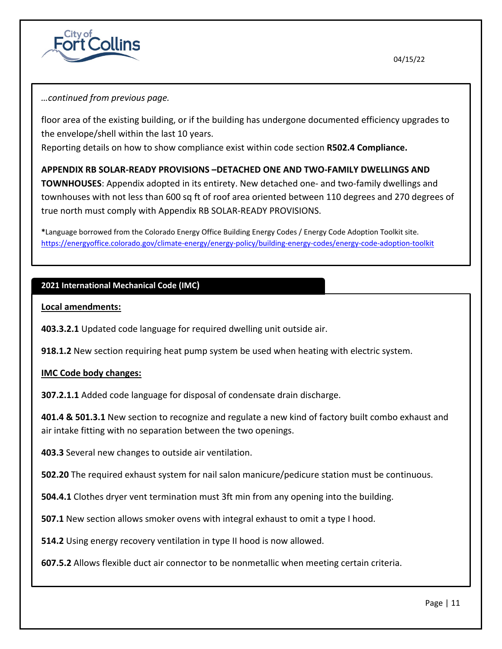



floor area of the existing building, or if the building has undergone documented efficiency upgrades to the envelope/shell within the last 10 years.

Reporting details on how to show compliance exist within code section **R502.4 Compliance.**

## **APPENDIX RB SOLAR-READY PROVISIONS –DETACHED ONE AND TWO-FAMILY DWELLINGS AND**

**TOWNHOUSES**: Appendix adopted in its entirety. New detached one- and two-family dwellings and townhouses with not less than 600 sq ft of roof area oriented between 110 degrees and 270 degrees of true north must comply with Appendix RB SOLAR-READY PROVISIONS.

**\***Language borrowed from the Colorado Energy Office Building Energy Codes / Energy Code Adoption Toolkit site. <https://energyoffice.colorado.gov/climate-energy/energy-policy/building-energy-codes/energy-code-adoption-toolkit>

# **2021 International Mechanical Code (IMC)**

**Local amendments:**

**403.3.2.1** Updated code language for required dwelling unit outside air.

**918.1.2** New section requiring heat pump system be used when heating with electric system.

## **IMC Code body changes:**

**307.2.1.1** Added code language for disposal of condensate drain discharge.

**401.4 & 501.3.1** New section to recognize and regulate a new kind of factory built combo exhaust and air intake fitting with no separation between the two openings.

**403.3** Several new changes to outside air ventilation.

**502.20** The required exhaust system for nail salon manicure/pedicure station must be continuous.

**504.4.1** Clothes dryer vent termination must 3ft min from any opening into the building.

**507.1** New section allows smoker ovens with integral exhaust to omit a type I hood.

**514.2** Using energy recovery ventilation in type II hood is now allowed.

**607.5.2** Allows flexible duct air connector to be nonmetallic when meeting certain criteria.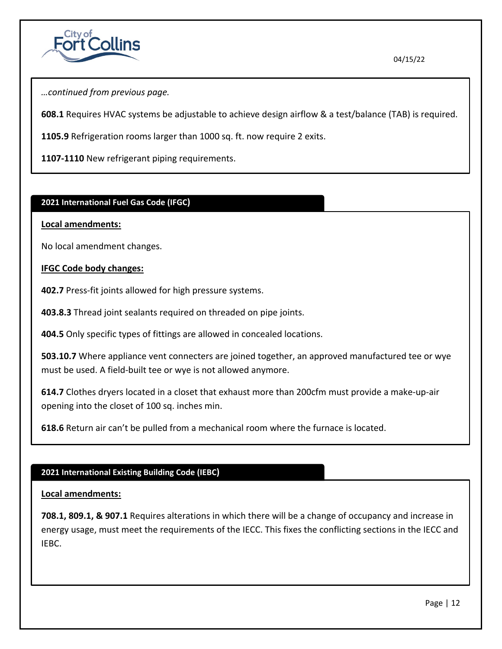

*…continued from previous page.*

**608.1** Requires HVAC systems be adjustable to achieve design airflow & a test/balance (TAB) is required.

**1105.9** Refrigeration rooms larger than 1000 sq. ft. now require 2 exits.

**1107-1110** New refrigerant piping requirements.

## **2021 International Fuel Gas Code (IFGC)**

#### **Local amendments:**

No local amendment changes.

## **IFGC Code body changes:**

**402.7** Press-fit joints allowed for high pressure systems.

**403.8.3** Thread joint sealants required on threaded on pipe joints.

**404.5** Only specific types of fittings are allowed in concealed locations.

**503.10.7** Where appliance vent connecters are joined together, an approved manufactured tee or wye must be used. A field-built tee or wye is not allowed anymore.

**614.7** Clothes dryers located in a closet that exhaust more than 200cfm must provide a make-up-air opening into the closet of 100 sq. inches min.

**618.6** Return air can't be pulled from a mechanical room where the furnace is located.

## **2021 International Existing Building Code (IEBC)**

## **Local amendments:**

**708.1, 809.1, & 907.1** Requires alterations in which there will be a change of occupancy and increase in energy usage, must meet the requirements of the IECC. This fixes the conflicting sections in the IECC and IEBC.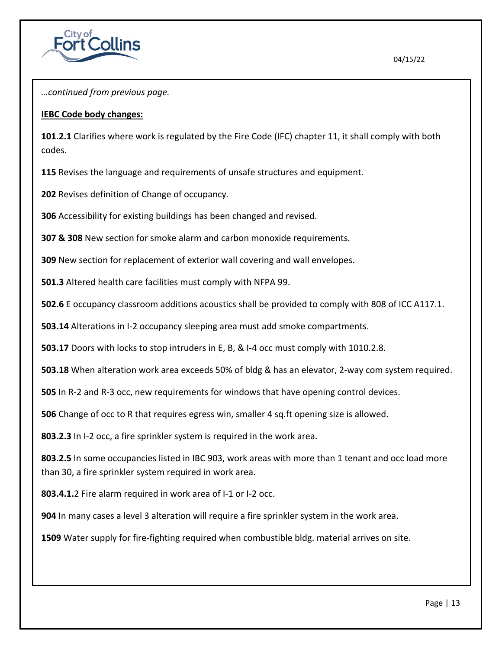

*…continued from previous page.*

## **IEBC Code body changes:**

**101.2.1** Clarifies where work is regulated by the Fire Code (IFC) chapter 11, it shall comply with both codes.

**115** Revises the language and requirements of unsafe structures and equipment.

**202** Revises definition of Change of occupancy.

**306** Accessibility for existing buildings has been changed and revised.

**307 & 308** New section for smoke alarm and carbon monoxide requirements.

**309** New section for replacement of exterior wall covering and wall envelopes.

**501.3** Altered health care facilities must comply with NFPA 99.

**502.6** E occupancy classroom additions acoustics shall be provided to comply with 808 of ICC A117.1.

**503.14** Alterations in I-2 occupancy sleeping area must add smoke compartments.

**503.17** Doors with locks to stop intruders in E, B, & I-4 occ must comply with 1010.2.8.

**503.18** When alteration work area exceeds 50% of bldg & has an elevator, 2-way com system required.

**505** In R-2 and R-3 occ, new requirements for windows that have opening control devices.

**506** Change of occ to R that requires egress win, smaller 4 sq.ft opening size is allowed.

**803.2.3** In I-2 occ, a fire sprinkler system is required in the work area.

**803.2.5** In some occupancies listed in IBC 903, work areas with more than 1 tenant and occ load more than 30, a fire sprinkler system required in work area.

**803.4.1.**2 Fire alarm required in work area of I-1 or I-2 occ.

**904** In many cases a level 3 alteration will require a fire sprinkler system in the work area.

**1509** Water supply for fire-fighting required when combustible bldg. material arrives on site.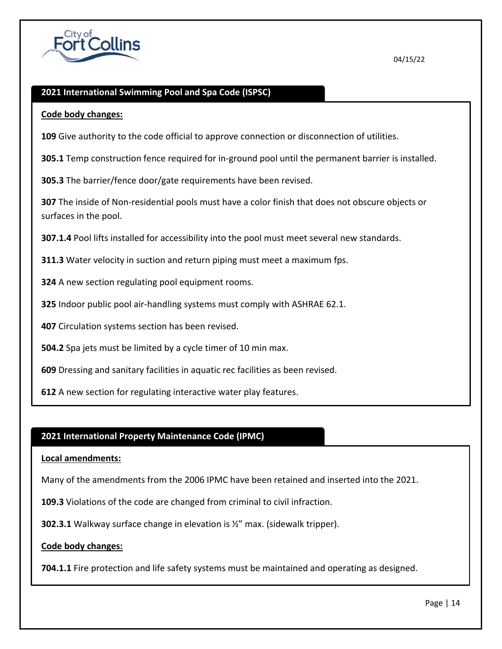

## **2021 International Swimming Pool and Spa Code (ISPSC)**

#### **Code body changes:**

**109** Give authority to the code official to approve connection or disconnection of utilities.

**305.1** Temp construction fence required for in-ground pool until the permanent barrier is installed.

**305.3** The barrier/fence door/gate requirements have been revised.

**307** The inside of Non-residential pools must have a color finish that does not obscure objects or surfaces in the pool.

**307.1.4** Pool lifts installed for accessibility into the pool must meet several new standards.

**311.3** Water velocity in suction and return piping must meet a maximum fps.

**324** A new section regulating pool equipment rooms.

**325** Indoor public pool air-handling systems must comply with ASHRAE 62.1.

**407** Circulation systems section has been revised.

**504.2** Spa jets must be limited by a cycle timer of 10 min max.

**609** Dressing and sanitary facilities in aquatic rec facilities as been revised.

**612** A new section for regulating interactive water play features.

## **2021 International Property Maintenance Code (IPMC)**

#### **Local amendments:**

Many of the amendments from the 2006 IPMC have been retained and inserted into the 2021.

**109.3** Violations of the code are changed from criminal to civil infraction.

**302.3.1** Walkway surface change in elevation is ½" max. (sidewalk tripper).

#### **Code body changes:**

**704.1.1** Fire protection and life safety systems must be maintained and operating as designed.